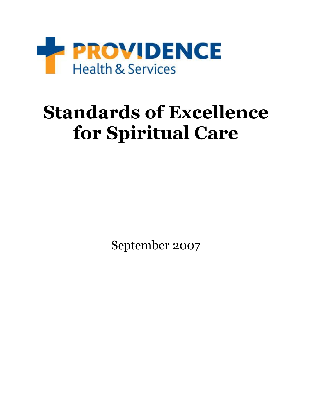

# **Standards of Excellence for Spiritual Care**

September 2007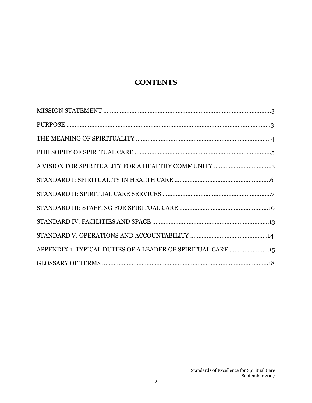## **CONTENTS**

| APPENDIX 1: TYPICAL DUTIES OF A LEADER OF SPIRITUAL CARE 15 |  |
|-------------------------------------------------------------|--|
|                                                             |  |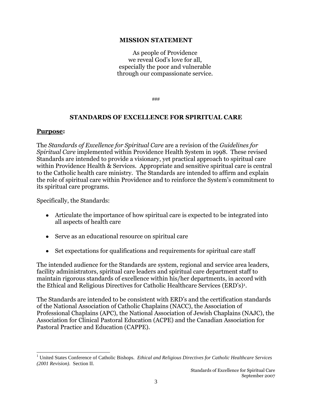#### **MISSION STATEMENT**

As people of Providence we reveal God's love for all, especially the poor and vulnerable through our compassionate service.

###

#### **STANDARDS OF EXCELLENCE FOR SPIRITUAL CARE**

#### **Purpose:**

 $\overline{a}$ 

The *Standards of Excellence for Spiritual Care* are a revision of the *Guidelines for Spiritual Care* implemented within Providence Health System in 1998. These revised Standards are intended to provide a visionary, yet practical approach to spiritual care within Providence Health & Services. Appropriate and sensitive spiritual care is central to the Catholic health care ministry. The Standards are intended to affirm and explain the role of spiritual care within Providence and to reinforce the System's commitment to its spiritual care programs.

Specifically, the Standards:

- Articulate the importance of how spiritual care is expected to be integrated into all aspects of health care
- Serve as an educational resource on spiritual care
- Set expectations for qualifications and requirements for spiritual care staff

The intended audience for the Standards are system, regional and service area leaders, facility administrators, spiritual care leaders and spiritual care department staff to maintain rigorous standards of excellence within his/her departments, in accord with the Ethical and Religious Directives for Catholic Healthcare Services (ERD's)<sup>1</sup>.

The Standards are intended to be consistent with ERD's and the certification standards of the National Association of Catholic Chaplains (NACC), the Association of Professional Chaplains (APC), the National Association of Jewish Chaplains (NAJC), the Association for Clinical Pastoral Education (ACPE) and the Canadian Association for Pastoral Practice and Education (CAPPE).

<sup>1</sup> United States Conference of Catholic Bishops. *Ethical and Religious Directives for Catholic Healthcare Services (2001 Revision)*. Section II.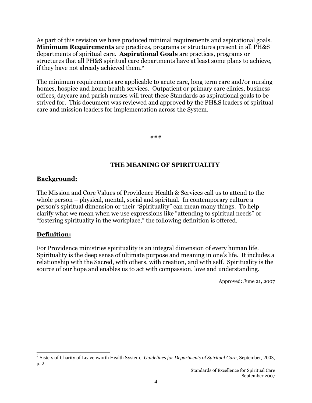As part of this revision we have produced minimal requirements and aspirational goals. **Minimum Requirements** are practices, programs or structures present in all PH&S departments of spiritual care. **Aspirational Goals** are practices, programs or structures that all PH&S spiritual care departments have at least some plans to achieve, if they have not already achieved them.<sup>2</sup>

The minimum requirements are applicable to acute care, long term care and/or nursing homes, hospice and home health services. Outpatient or primary care clinics, business offices, daycare and parish nurses will treat these Standards as aspirational goals to be strived for. This document was reviewed and approved by the PH&S leaders of spiritual care and mission leaders for implementation across the System.

#### ###

## **THE MEANING OF SPIRITUALITY**

## **Background:**

The Mission and Core Values of Providence Health & Services call us to attend to the whole person – physical, mental, social and spiritual. In contemporary culture a person's spiritual dimension or their "Spirituality" can mean many things. To help clarify what we mean when we use expressions like "attending to spiritual needs" or "fostering spirituality in the workplace," the following definition is offered.

## **Definition:**

 $\overline{a}$ 

For Providence ministries spirituality is an integral dimension of every human life. Spirituality is the deep sense of ultimate purpose and meaning in one's life. It includes a relationship with the Sacred, with others, with creation, and with self. Spirituality is the source of our hope and enables us to act with compassion, love and understanding.

Approved: June 21, 2007

<sup>2</sup> Sisters of Charity of Leavenworth Health System. *Guidelines for Departments of Spiritual Care*, September, 2003, p. 2.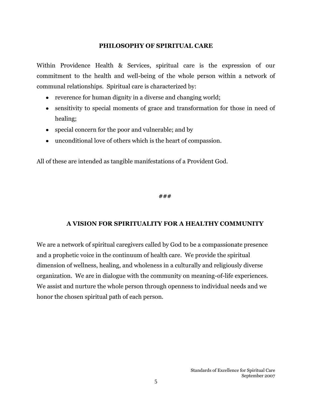#### **PHILOSOPHY OF SPIRITUAL CARE**

Within Providence Health & Services, spiritual care is the expression of our commitment to the health and well-being of the whole person within a network of communal relationships. Spiritual care is characterized by:

- reverence for human dignity in a diverse and changing world;
- sensitivity to special moments of grace and transformation for those in need of healing;
- special concern for the poor and vulnerable; and by
- unconditional love of others which is the heart of compassion.

All of these are intended as tangible manifestations of a Provident God.

**###**

## **A VISION FOR SPIRITUALITY FOR A HEALTHY COMMUNITY**

We are a network of spiritual caregivers called by God to be a compassionate presence and a prophetic voice in the continuum of health care. We provide the spiritual dimension of wellness, healing, and wholeness in a culturally and religiously diverse organization. We are in dialogue with the community on meaning-of-life experiences. We assist and nurture the whole person through openness to individual needs and we honor the chosen spiritual path of each person.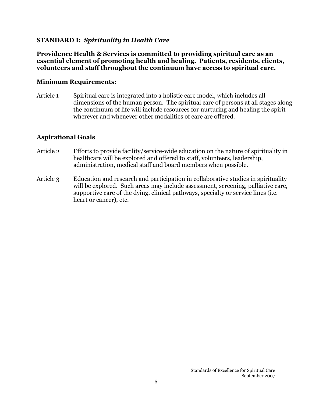## **STANDARD I:** *Spirituality in Health Care*

**Providence Health & Services is committed to providing spiritual care as an essential element of promoting health and healing. Patients, residents, clients, volunteers and staff throughout the continuum have access to spiritual care.** 

#### **Minimum Requirements:**

Article 1 Spiritual care is integrated into a holistic care model, which includes all dimensions of the human person. The spiritual care of persons at all stages along the continuum of life will include resources for nurturing and healing the spirit wherever and whenever other modalities of care are offered.

## **Aspirational Goals**

- Article 2 Efforts to provide facility/service-wide education on the nature of spirituality in healthcare will be explored and offered to staff, volunteers, leadership, administration, medical staff and board members when possible.
- Article 3 Education and research and participation in collaborative studies in spirituality will be explored. Such areas may include assessment, screening, palliative care, supportive care of the dying, clinical pathways, specialty or service lines (i.e. heart or cancer), etc.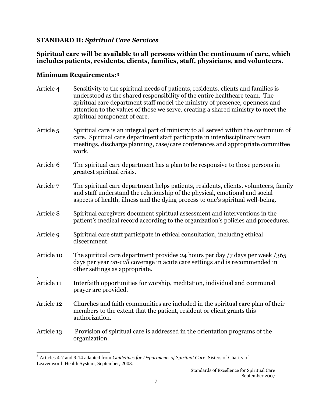## **STANDARD II:** *Spiritual Care Services*

## **Spiritual care will be available to all persons within the continuum of care, which includes patients, residents, clients, families, staff, physicians, and volunteers.**

## **Minimum Requirements:<sup>3</sup>**

 $\overline{a}$ 

- Article 4 Sensitivity to the spiritual needs of patients, residents, clients and families is understood as the shared responsibility of the entire healthcare team. The spiritual care department staff model the ministry of presence, openness and attention to the values of those we serve, creating a shared ministry to meet the spiritual component of care.
- Article 5 Spiritual care is an integral part of ministry to all served within the continuum of care. Spiritual care department staff participate in interdisciplinary team meetings, discharge planning, case/care conferences and appropriate committee work.
- Article 6 The spiritual care department has a plan to be responsive to those persons in greatest spiritual crisis.
- Article 7 The spiritual care department helps patients, residents, clients, volunteers, family and staff understand the relationship of the physical, emotional and social aspects of health, illness and the dying process to one's spiritual well-being.
- Article 8 Spiritual caregivers document spiritual assessment and interventions in the patient's medical record according to the organization's policies and procedures.
- Article 9 Spiritual care staff participate in ethical consultation, including ethical discernment.
- Article 10 The spiritual care department provides 24 hours per day /7 days per week /365 days per year *on-call* coverage in acute care settings and is recommended in other settings as appropriate.
- . Article 11 Interfaith opportunities for worship, meditation, individual and communal prayer are provided.
- Article 12 Churches and faith communities are included in the spiritual care plan of their members to the extent that the patient, resident or client grants this authorization.
- Article 13 Provision of spiritual care is addressed in the orientation programs of the organization.

<sup>3</sup> Articles 4-7 and 9-14 adapted from *Guidelines for Departments of Spiritual Care*, Sisters of Charity of Leavenworth Health System, September, 2003.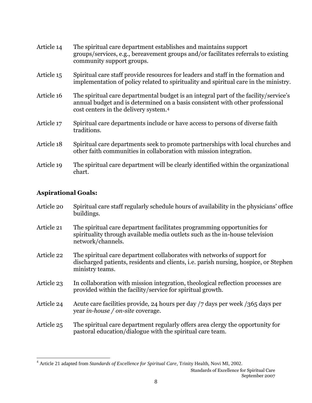| Article 14 | The spiritual care department establishes and maintains support<br>groups/services, e.g., bereavement groups and/or facilitates referrals to existing<br>community support groups.                                         |
|------------|----------------------------------------------------------------------------------------------------------------------------------------------------------------------------------------------------------------------------|
| Article 15 | Spiritual care staff provide resources for leaders and staff in the formation and<br>implementation of policy related to spirituality and spiritual care in the ministry.                                                  |
| Article 16 | The spiritual care departmental budget is an integral part of the facility/service's<br>annual budget and is determined on a basis consistent with other professional<br>cost centers in the delivery system. <sup>4</sup> |
| Article 17 | Spiritual care departments include or have access to persons of diverse faith<br>traditions.                                                                                                                               |
| Article 18 | Spiritual care departments seek to promote partnerships with local churches and<br>other faith communities in collaboration with mission integration.                                                                      |
| Article 19 | The spiritual care department will be clearly identified within the organizational<br>chart.                                                                                                                               |

## **Aspirational Goals:**

l

| Article 20 | Spiritual care staff regularly schedule hours of availability in the physicians' office |
|------------|-----------------------------------------------------------------------------------------|
|            | buildings.                                                                              |
|            |                                                                                         |

- Article 21 The spiritual care department facilitates programming opportunities for spirituality through available media outlets such as the in-house television network/channels.
- Article 22 The spiritual care department collaborates with networks of support for discharged patients, residents and clients, i.e. parish nursing, hospice, or Stephen ministry teams.
- Article 23 In collaboration with mission integration, theological reflection processes are provided within the facility/service for spiritual growth.
- Article 24 Acute care facilities provide, 24 hours per day /7 days per week /365 days per year *in-house / on-site* coverage.
- Article 25 The spiritual care department regularly offers area clergy the opportunity for pastoral education/dialogue with the spiritual care team.

<sup>4</sup> Article 21 adapted from *Standards of Excellence for Spiritual Care*, Trinity Health, Novi MI, 2002.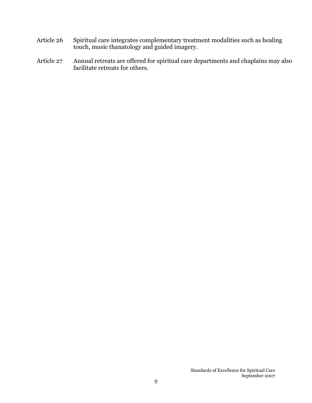- Article 26 Spiritual care integrates complementary treatment modalities such as healing touch, music thanatology and guided imagery.
- Article 27 Annual retreats are offered for spiritual care departments and chaplains may also facilitate retreats for others.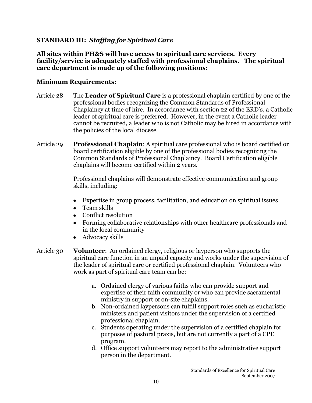## **STANDARD III:** *Staffing for Spiritual Care*

**All sites within PH&S will have access to spiritual care services. Every facility/service is adequately staffed with professional chaplains. The spiritual care department is made up of the following positions:** 

## **Minimum Requirements:**

- Article 28 The **Leader of Spiritual Care** is a professional chaplain certified by one of the professional bodies recognizing the Common Standards of Professional Chaplaincy at time of hire. In accordance with section 22 of the ERD's, a Catholic leader of spiritual care is preferred. However, in the event a Catholic leader cannot be recruited, a leader who is not Catholic may be hired in accordance with the policies of the local diocese.
- Article 29 **Professional Chaplain**: A spiritual care professional who is board certified or board certification eligible by one of the professional bodies recognizing the Common Standards of Professional Chaplaincy. Board Certification eligible chaplains will become certified within 2 years.

Professional chaplains will demonstrate effective communication and group skills, including:

- Expertise in group process, facilitation, and education on spiritual issues
- Team skills
- Conflict resolution
- Forming collaborative relationships with other healthcare professionals and in the local community
- Advocacy skills  $\bullet$
- Article 30 **Volunteer**: An ordained clergy, religious or layperson who supports the spiritual care function in an unpaid capacity and works under the supervision of the leader of spiritual care or certified professional chaplain. Volunteers who work as part of spiritual care team can be:
	- a. Ordained clergy of various faiths who can provide support and expertise of their faith community or who can provide sacramental ministry in support of on-site chaplains.
	- b. Non-ordained laypersons can fulfill support roles such as eucharistic ministers and patient visitors under the supervision of a certified professional chaplain.
	- c. Students operating under the supervision of a certified chaplain for purposes of pastoral praxis, but are not currently a part of a CPE program.
	- d. Office support volunteers may report to the administrative support person in the department.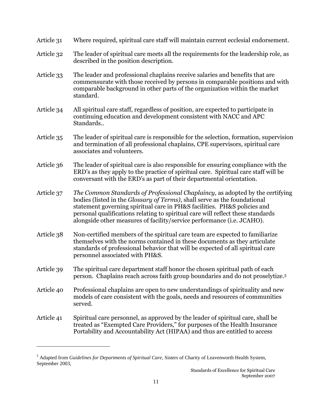| Article 31 Where required, spiritual care staff will maintain current ecclesial endorsement. |  |
|----------------------------------------------------------------------------------------------|--|
|----------------------------------------------------------------------------------------------|--|

- Article 32 The leader of spiritual care meets all the requirements for the leadership role, as described in the position description.
- Article 33 The leader and professional chaplains receive salaries and benefits that are commensurate with those received by persons in comparable positions and with comparable background in other parts of the organization within the market standard.
- Article 34 All spiritual care staff, regardless of position, are expected to participate in continuing education and development consistent with NACC and APC Standards..
- Article 35 The leader of spiritual care is responsible for the selection, formation, supervision and termination of all professional chaplains, CPE supervisors, spiritual care associates and volunteers.
- Article 36 The leader of spiritual care is also responsible for ensuring compliance with the ERD's as they apply to the practice of spiritual care. Spiritual care staff will be conversant with the ERD's as part of their departmental orientation.
- Article 37 *The Common Standards of Professional Chaplaincy,* as adopted by the certifying bodies (listed in the *Glossary of Terms)*, shall serve as the foundational statement governing spiritual care in PH&S facilities. PH&S policies and personal qualifications relating to spiritual care will reflect these standards alongside other measures of facility/service performance (i.e. JCAHO).
- Article 38 Non-certified members of the spiritual care team are expected to familiarize themselves with the norms contained in these documents as they articulate standards of professional behavior that will be expected of all spiritual care personnel associated with PH&S.
- Article 39 The spiritual care department staff honor the chosen spiritual path of each person. Chaplains reach across faith group boundaries and do not proselytize.<sup>5</sup>
- Article 40 Professional chaplains are open to new understandings of spirituality and new models of care consistent with the goals, needs and resources of communities served.
- Article 41 Spiritual care personnel, as approved by the leader of spiritual care, shall be treated as "Exempted Care Providers," for purposes of the Health Insurance Portability and Accountability Act (HIPAA) and thus are entitled to access

l

<sup>5</sup> Adapted from *Guidelines for Departments of Spiritual Care*, Sisters of Charity of Leavenworth Health System, September 2003,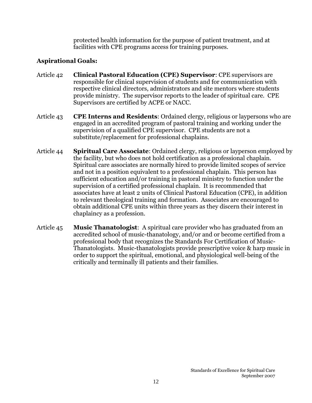protected health information for the purpose of patient treatment, and at facilities with CPE programs access for training purposes.

## **Aspirational Goals:**

- Article 42 **Clinical Pastoral Education (CPE) Supervisor**: CPE supervisors are responsible for clinical supervision of students and for communication with respective clinical directors, administrators and site mentors where students provide ministry. The supervisor reports to the leader of spiritual care. CPE Supervisors are certified by ACPE or NACC.
- Article 43 **CPE Interns and Residents**: Ordained clergy, religious or laypersons who are engaged in an accredited program of pastoral training and working under the supervision of a qualified CPE supervisor. CPE students are not a substitute/replacement for professional chaplains.
- Article 44 **Spiritual Care Associate**: Ordained clergy, religious or layperson employed by the facility, but who does not hold certification as a professional chaplain. Spiritual care associates are normally hired to provide limited scopes of service and not in a position equivalent to a professional chaplain. This person has sufficient education and/or training in pastoral ministry to function under the supervision of a certified professional chaplain. It is recommended that associates have at least 2 units of Clinical Pastoral Education (CPE), in addition to relevant theological training and formation. Associates are encouraged to obtain additional CPE units within three years as they discern their interest in chaplaincy as a profession.
- Article 45 **Music Thanatologist**:A spiritual care provider who has graduated from an accredited school of music-thanatology, and/or and or become certified from a professional body that recognizes the Standards For Certification of Music-Thanatologists. Music-thanatologists provide prescriptive voice & harp music in order to support the spiritual, emotional, and physiological well-being of the critically and terminally ill patients and their families.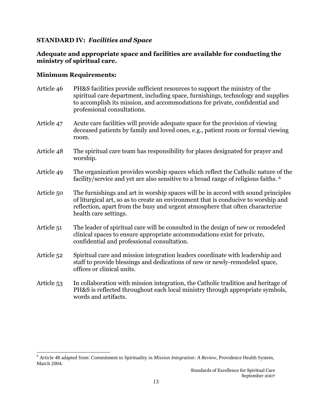## **STANDARD IV:** *Facilities and Space*

## **Adequate and appropriate space and facilities are available for conducting the ministry of spiritual care.**

## **Minimum Requirements:**

 $\overline{a}$ 

- Article 46 PH&S facilities provide sufficient resources to support the ministry of the spiritual care department, including space, furnishings, technology and supplies to accomplish its mission, and accommodations for private, confidential and professional consultations.
- Article 47 Acute care facilities will provide adequate space for the provision of viewing deceased patients by family and loved ones, e.g., patient room or formal viewing room.
- Article 48 The spiritual care team has responsibility for places designated for prayer and worship.
- Article 49 The organization provides worship spaces which reflect the Catholic nature of the facility/service and yet are also sensitive to a broad range of religious faiths. <sup>6</sup>
- Article 50 The furnishings and art in worship spaces will be in accord with sound principles of liturgical art, so as to create an environment that is conducive to worship and reflection, apart from the busy and urgent atmosphere that often characterize health care settings.
- Article 51 The leader of spiritual care will be consulted in the design of new or remodeled clinical spaces to ensure appropriate accommodations exist for private, confidential and professional consultation.
- Article 52 Spiritual care and mission integration leaders coordinate with leadership and staff to provide blessings and dedications of new or newly-remodeled space, offices or clinical units.
- Article 53 In collaboration with mission integration, the Catholic tradition and heritage of PH&S is reflected throughout each local ministry through appropriate symbols, words and artifacts.

<sup>6</sup> Article 48 adapted from: Commitment to Spirituality in *Mission Integration: A Review*, Providence Health System, March 2004.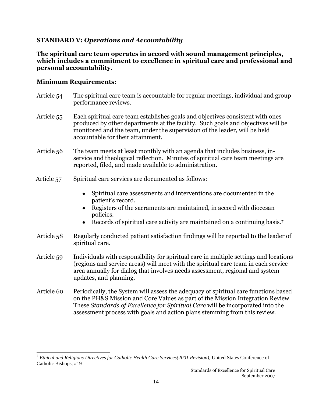## **STANDARD V:** *Operations and Accountability*

**The spiritual care team operates in accord with sound management principles, which includes a commitment to excellence in spiritual care and professional and personal accountability.**

#### **Minimum Requirements:**

 $\overline{a}$ 

- Article 54 The spiritual care team is accountable for regular meetings, individual and group performance reviews.
- Article 55 Each spiritual care team establishes goals and objectives consistent with ones produced by other departments at the facility. Such goals and objectives will be monitored and the team, under the supervision of the leader, will be held accountable for their attainment.
- Article 56 The team meets at least monthly with an agenda that includes business, inservice and theological reflection. Minutes of spiritual care team meetings are reported, filed, and made available to administration.
- Article 57 Spiritual care services are documented as follows:
	- Spiritual care assessments and interventions are documented in the patient's record.
	- Registers of the sacraments are maintained, in accord with diocesan policies.
	- Records of spiritual care activity are maintained on a continuing basis.<sup>7</sup>
- Article 58 Regularly conducted patient satisfaction findings will be reported to the leader of spiritual care.
- Article 59 Individuals with responsibility for spiritual care in multiple settings and locations (regions and service areas) will meet with the spiritual care team in each service area annually for dialog that involves needs assessment, regional and system updates, and planning.
- Article 60 Periodically, the System will assess the adequacy of spiritual care functions based on the PH&S Mission and Core Values as part of the Mission Integration Review. These *Standards of Excellence for Spiritual Care* will be incorporated into the assessment process with goals and action plans stemming from this review.

<sup>7</sup> *Ethical and Religious Directives for Catholic Health Care Services(2001 Revision),* United States Conference of Catholic Bishops, #19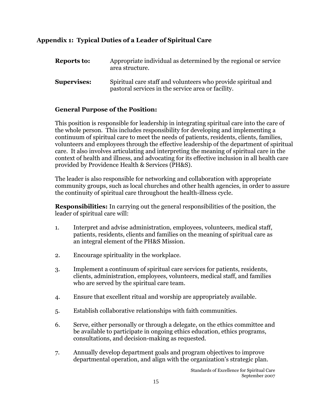## **Appendix 1: Typical Duties of a Leader of Spiritual Care**

| <b>Reports to:</b> | Appropriate individual as determined by the regional or service<br>area structure.                                  |
|--------------------|---------------------------------------------------------------------------------------------------------------------|
| <b>Supervises:</b> | Spiritual care staff and volunteers who provide spiritual and<br>pastoral services in the service area or facility. |

## **General Purpose of the Position:**

This position is responsible for leadership in integrating spiritual care into the care of the whole person. This includes responsibility for developing and implementing a continuum of spiritual care to meet the needs of patients, residents, clients, families, volunteers and employees through the effective leadership of the department of spiritual care. It also involves articulating and interpreting the meaning of spiritual care in the context of health and illness, and advocating for its effective inclusion in all health care provided by Providence Health & Services (PH&S).

The leader is also responsible for networking and collaboration with appropriate community groups, such as local churches and other health agencies, in order to assure the continuity of spiritual care throughout the health-illness cycle.

**Responsibilities:** In carrying out the general responsibilities of the position, the leader of spiritual care will:

- 1. Interpret and advise administration, employees, volunteers, medical staff, patients, residents, clients and families on the meaning of spiritual care as an integral element of the PH&S Mission.
- 2. Encourage spirituality in the workplace.
- 3. Implement a continuum of spiritual care services for patients, residents, clients, administration, employees, volunteers, medical staff, and families who are served by the spiritual care team.
- 4. Ensure that excellent ritual and worship are appropriately available.
- 5. Establish collaborative relationships with faith communities.
- 6. Serve, either personally or through a delegate, on the ethics committee and be available to participate in ongoing ethics education, ethics programs, consultations, and decision-making as requested.
- 7. Annually develop department goals and program objectives to improve departmental operation, and align with the organization's strategic plan.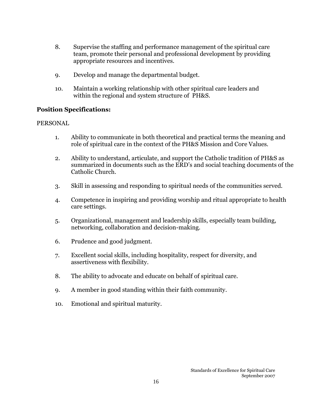- 8. Supervise the staffing and performance management of the spiritual care team, promote their personal and professional development by providing appropriate resources and incentives.
- 9. Develop and manage the departmental budget.
- 10. Maintain a working relationship with other spiritual care leaders and within the regional and system structure of PH&S.

## **Position Specifications:**

## PERSONAL

- 1. Ability to communicate in both theoretical and practical terms the meaning and role of spiritual care in the context of the PH&S Mission and Core Values.
- 2. Ability to understand, articulate, and support the Catholic tradition of PH&S as summarized in documents such as the ERD's and social teaching documents of the Catholic Church.
- 3. Skill in assessing and responding to spiritual needs of the communities served.
- 4. Competence in inspiring and providing worship and ritual appropriate to health care settings.
- 5. Organizational, management and leadership skills, especially team building, networking, collaboration and decision-making.
- 6. Prudence and good judgment.
- 7. Excellent social skills, including hospitality, respect for diversity, and assertiveness with flexibility.
- 8. The ability to advocate and educate on behalf of spiritual care.
- 9. A member in good standing within their faith community.
- 10. Emotional and spiritual maturity.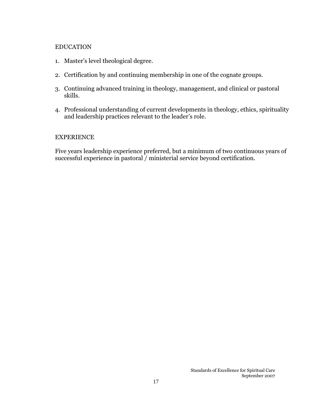#### EDUCATION

- 1. Master's level theological degree.
- 2. Certification by and continuing membership in one of the cognate groups.
- 3. Continuing advanced training in theology, management, and clinical or pastoral skills.
- 4. Professional understanding of current developments in theology, ethics, spirituality and leadership practices relevant to the leader's role.

#### EXPERIENCE

Five years leadership experience preferred, but a minimum of two continuous years of successful experience in pastoral / ministerial service beyond certification.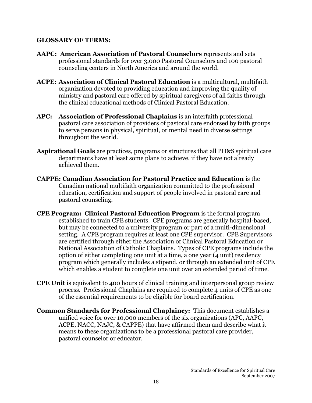## **GLOSSARY OF TERMS:**

- **AAPC: American Association of Pastoral Counselors** represents and sets professional standards for over 3,000 Pastoral Counselors and 100 pastoral counseling centers in North America and around the world.
- **ACPE: Association of Clinical Pastoral Education** is a multicultural, multifaith organization devoted to providing education and improving the quality of ministry and pastoral care offered by spiritual caregivers of all faiths through the clinical educational methods of Clinical Pastoral Education.
- **APC: Association of Professional Chaplains** is an interfaith professional pastoral care association of providers of pastoral care endorsed by faith groups to serve persons in physical, spiritual, or mental need in diverse settings throughout the world.
- **Aspirational Goals** are practices, programs or structures that all PH&S spiritual care departments have at least some plans to achieve, if they have not already achieved them.
- **CAPPE: Canadian Association for Pastoral Practice and Education** is the Canadian national multifaith organization committed to the professional education, certification and support of people involved in pastoral care and pastoral counseling.
- **CPE Program: Clinical Pastoral Education Program** is the formal program established to train CPE students. CPE programs are generally hospital-based, but may be connected to a university program or part of a multi-dimensional setting. A CPE program requires at least one CPE supervisor. CPE Supervisors are certified through either the Association of Clinical Pastoral Education or National Association of Catholic Chaplains. Types of CPE programs include the option of either completing one unit at a time, a one year (4 unit) residency program which generally includes a stipend, or through an extended unit of CPE which enables a student to complete one unit over an extended period of time.
- **CPE Unit** is equivalent to 400 hours of clinical training and interpersonal group review process. Professional Chaplains are required to complete 4 units of CPE as one of the essential requirements to be eligible for board certification.
- **Common Standards for Professional Chaplaincy:** This document establishes a unified voice for over 10,000 members of the six organizations (APC, AAPC, ACPE, NACC, NAJC, & CAPPE) that have affirmed them and describe what it means to these organizations to be a professional pastoral care provider, pastoral counselor or educator.